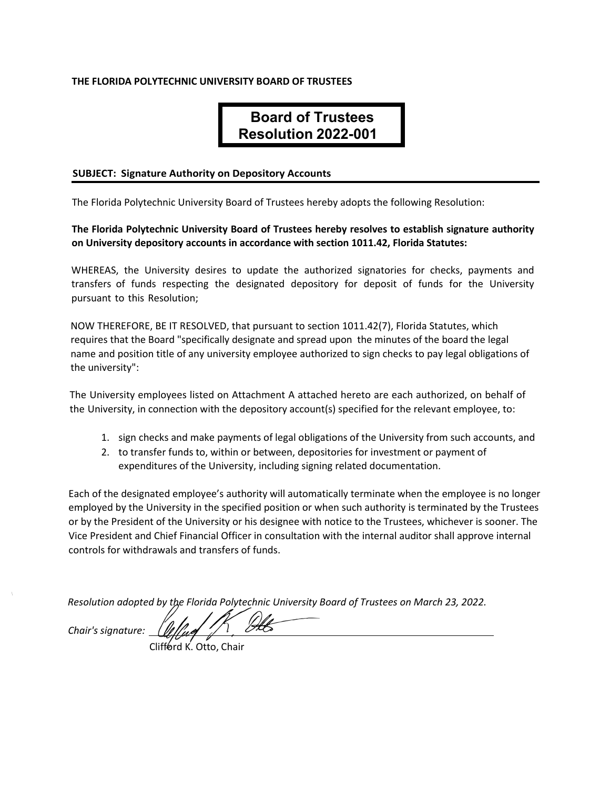## **THE FLORIDA POLYTECHNIC UNIVERSITY BOARD OF TRUSTEES**

# **Board of Trustees Resolution 2022-001**

#### **SUBJECT: Signature Authority on Depository Accounts**

The Florida Polytechnic University Board of Trustees hereby adopts the following Resolution:

## **The Florida Polytechnic University Board of Trustees hereby resolves to establish signature authority on University depository accounts in accordance with section 1011.42, Florida Statutes:**

WHEREAS, the University desires to update the authorized signatories for checks, payments and transfers of funds respecting the designated depository for deposit of funds for the University pursuant to this Resolution;

NOW THEREFORE, BE IT RESOLVED, that pursuant to section 1011.42(7), Florida Statutes, which requires that the Board "specifically designate and spread upon the minutes of the board the legal name and position title of any university employee authorized to sign checks to pay legal obligations of the university":

The University employees listed on Attachment A attached hereto are each authorized, on behalf of the University, in connection with the depository account(s) specified for the relevant employee, to:

- 1. sign checks and make payments of legal obligations of the University from such accounts, and
- 2. to transfer funds to, within or between, depositories for investment or payment of expenditures of the University, including signing related documentation.

Each of the designated employee's authority will automatically terminate when the employee is no longer employed by the University in the specified position or when such authority is terminated by the Trustees or by the President of the University or his designee with notice to the Trustees, whichever is sooner. The Vice President and Chief Financial Officer in consultation with the internal auditor shall approve internal controls for withdrawals and transfers of funds.

*Resolution adopted by the Florida Polytechnic University Board of Trustees on March 23, 2022.* 

*Chair's signature:*

Clifford K. Otto, Chair